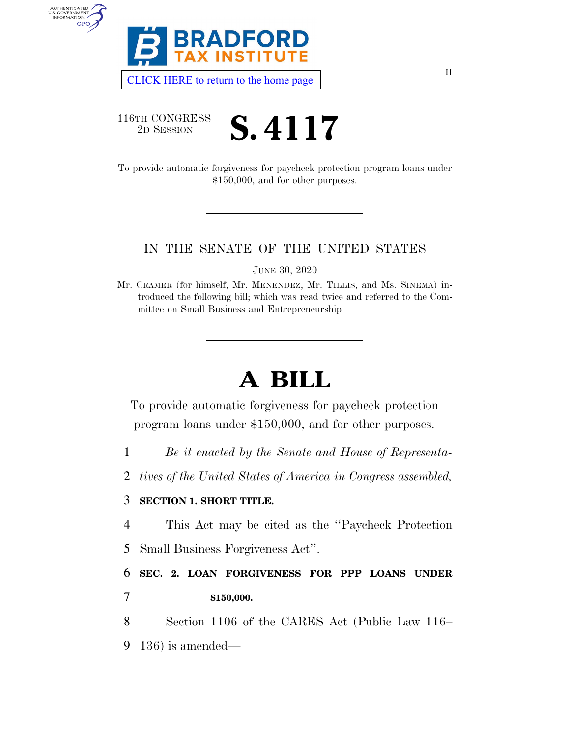

[CLICK HERE to return to the home page](https://www.bradfordtaxinstitute.com) 

116TH CONGRESS

AUTHENTICATED



To provide automatic forgiveness for paycheck protection program loans under \$150,000, and for other purposes.

## IN THE SENATE OF THE UNITED STATES

JUNE 30, 2020

Mr. CRAMER (for himself, Mr. MENENDEZ, Mr. TILLIS, and Ms. SINEMA) introduced the following bill; which was read twice and referred to the Committee on Small Business and Entrepreneurship

## **A BILL**

To provide automatic forgiveness for paycheck protection program loans under \$150,000, and for other purposes.

- 1 *Be it enacted by the Senate and House of Representa-*
- 2 *tives of the United States of America in Congress assembled,*

## 3 **SECTION 1. SHORT TITLE.**

- 4 This Act may be cited as the ''Paycheck Protection
- 5 Small Business Forgiveness Act''.

6 **SEC. 2. LOAN FORGIVENESS FOR PPP LOANS UNDER**  7 **\$150,000.** 

8 Section 1106 of the CARES Act (Public Law 116– 9 136) is amended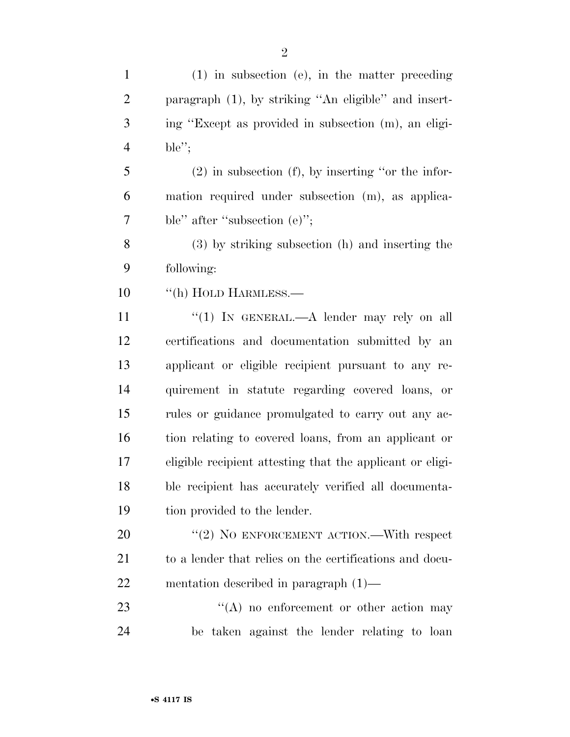(1) in subsection (e), in the matter preceding paragraph (1), by striking ''An eligible'' and insert- ing ''Except as provided in subsection (m), an eligi-ble'';

 (2) in subsection (f), by inserting ''or the infor- mation required under subsection (m), as applica-ble'' after ''subsection (e)'';

 (3) by striking subsection (h) and inserting the following:

10 "(h) HOLD HARMLESS.—

11 ''(1) In GENERAL.—A lender may rely on all certifications and documentation submitted by an applicant or eligible recipient pursuant to any re- quirement in statute regarding covered loans, or rules or guidance promulgated to carry out any ac- tion relating to covered loans, from an applicant or eligible recipient attesting that the applicant or eligi- ble recipient has accurately verified all documenta-tion provided to the lender.

20 "(2) NO ENFORCEMENT ACTION.—With respect to a lender that relies on the certifications and docu-mentation described in paragraph (1)—

23 ''(A) no enforcement or other action may be taken against the lender relating to loan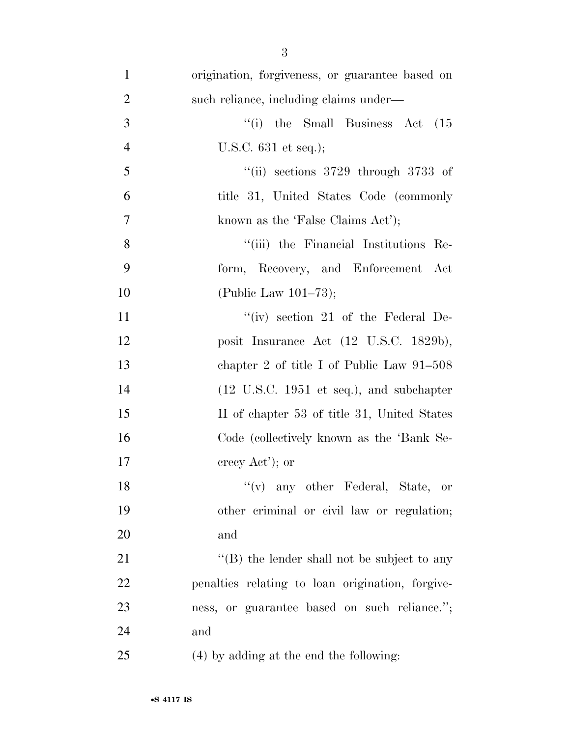| $\mathbf{1}$   | origination, forgiveness, or guarantee based on             |
|----------------|-------------------------------------------------------------|
| $\overline{2}$ | such reliance, including claims under-                      |
| 3              | "(i) the Small Business Act<br>(15)                         |
| $\overline{4}$ | U.S.C. $631$ et seq.);                                      |
| 5              | "(ii) sections $3729$ through $3733$ of                     |
| 6              | title 31, United States Code (commonly                      |
| $\overline{7}$ | known as the 'False Claims Act');                           |
| 8              | "(iii) the Financial Institutions Re-                       |
| 9              | form, Recovery, and Enforcement Act                         |
| 10             | (Public Law $101-73$ );                                     |
| 11             | "(iv) section 21 of the Federal De-                         |
| 12             | posit Insurance Act (12 U.S.C. 1829b),                      |
| 13             | chapter 2 of title I of Public Law $91-508$                 |
| 14             | $(12 \text{ U.S.C. } 1951 \text{ et seq.}),$ and subchapter |
| 15             | II of chapter 53 of title 31, United States                 |
| 16             | Code (collectively known as the 'Bank Se-                   |
| 17             | crecy $Act$ <sup>'</sup> ); or                              |
| 18             | $f'(v)$ any other Federal, State, or                        |
| 19             | other criminal or civil law or regulation;                  |
| 20             | and                                                         |
| 21             | $\lq\lq$ the lender shall not be subject to any             |
| 22             | penalties relating to loan origination, forgive-            |
| 23             | ness, or guarantee based on such reliance.";                |
| 24             | and                                                         |
| 25             | (4) by adding at the end the following:                     |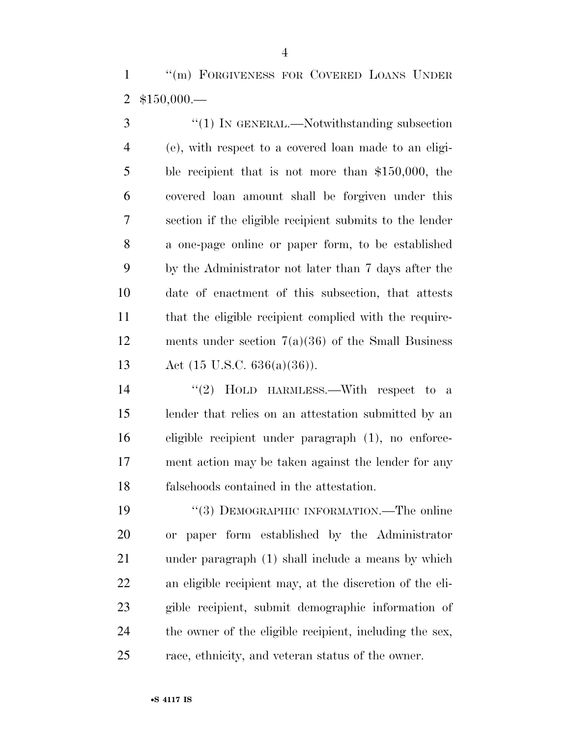''(m) FORGIVENESS FOR COVERED LOANS UNDER \$150,000.—

3 "(1) IN GENERAL.—Notwithstanding subsection (e), with respect to a covered loan made to an eligi- ble recipient that is not more than \$150,000, the covered loan amount shall be forgiven under this section if the eligible recipient submits to the lender a one-page online or paper form, to be established by the Administrator not later than 7 days after the date of enactment of this subsection, that attests that the eligible recipient complied with the require- ments under section 7(a)(36) of the Small Business Act (15 U.S.C. 636(a)(36)).

14 "(2) HOLD HARMLESS.—With respect to a lender that relies on an attestation submitted by an eligible recipient under paragraph (1), no enforce- ment action may be taken against the lender for any falsehoods contained in the attestation.

19 "(3) DEMOGRAPHIC INFORMATION.—The online or paper form established by the Administrator under paragraph (1) shall include a means by which an eligible recipient may, at the discretion of the eli- gible recipient, submit demographic information of the owner of the eligible recipient, including the sex, race, ethnicity, and veteran status of the owner.